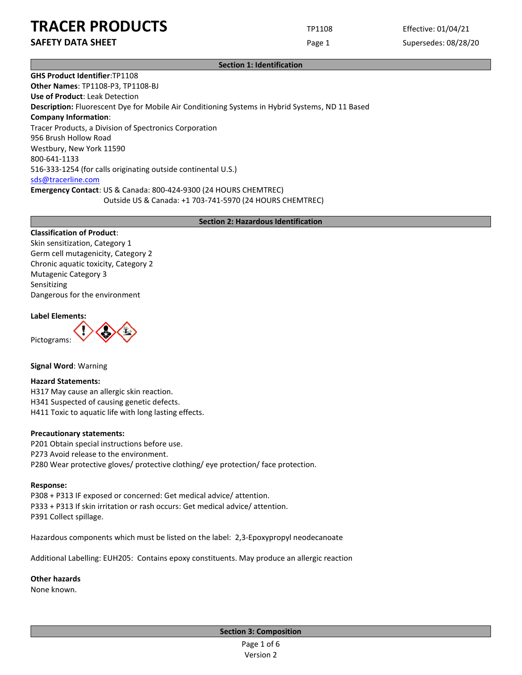**SAFETY DATA SHEET** SUPERFOUR CONSUMING THE Page 1 Supersedes: 08/28/20

**Section 1: Identification**

**GHS Product Identifier**:TP1108 **Other Names**: TP1108-P3, TP1108-BJ **Use of Product**: Leak Detection **Description:** Fluorescent Dye for Mobile Air Conditioning Systems in Hybrid Systems, ND 11 Based **Company Information**: Tracer Products, a Division of Spectronics Corporation 956 Brush Hollow Road Westbury, New York 11590 800-641-1133 516-333-1254 (for calls originating outside continental U.S.) [sds@tracerline.com](mailto:sds@tracerline.com) **Emergency Contact**: US & Canada: 800-424-9300 (24 HOURS CHEMTREC) Outside US & Canada: +1 703-741-5970 (24 HOURS CHEMTREC)

**Section 2: Hazardous Identification**

### **Classification of Product**:

Skin sensitization, Category 1 Germ cell mutagenicity, Category 2 Chronic aquatic toxicity, Category 2 Mutagenic Category 3 Sensitizing Dangerous for the environment

#### **Label Elements:**

Pictograms:



**Signal Word**: Warning

**Hazard Statements:**  H317 May cause an allergic skin reaction. H341 Suspected of causing genetic defects. H411 Toxic to aquatic life with long lasting effects.

#### **Precautionary statements:**

P201 Obtain special instructions before use. P273 Avoid release to the environment. P280 Wear protective gloves/ protective clothing/ eye protection/ face protection.

#### **Response:**

P308 + P313 IF exposed or concerned: Get medical advice/ attention. P333 + P313 If skin irritation or rash occurs: Get medical advice/ attention. P391 Collect spillage.

Hazardous components which must be listed on the label: 2,3-Epoxypropyl neodecanoate

Additional Labelling: EUH205: Contains epoxy constituents. May produce an allergic reaction

**Other hazards**

None known.

**Section 3: Composition**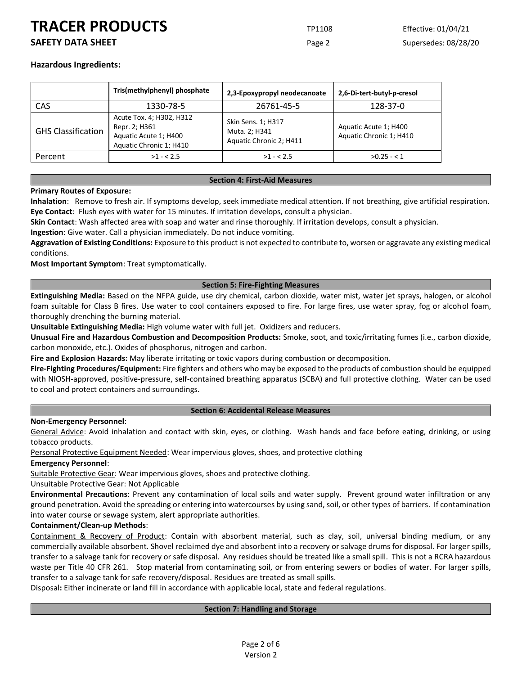# **SAFETY DATA SHEET** SUPERFOUR CONSIDERING Page 2 Supersedes: 08/28/20

## **Hazardous Ingredients:**

|                           | Tris(methylphenyl) phosphate                                                                  | 2,3-Epoxypropyl neodecanoate                                   | 2,6-Di-tert-butyl-p-cresol                       |
|---------------------------|-----------------------------------------------------------------------------------------------|----------------------------------------------------------------|--------------------------------------------------|
| CAS                       | 1330-78-5                                                                                     | 26761-45-5                                                     | 128-37-0                                         |
| <b>GHS Classification</b> | Acute Tox. 4; H302, H312<br>Repr. 2; H361<br>Aquatic Acute 1; H400<br>Aquatic Chronic 1; H410 | Skin Sens. 1; H317<br>Muta. 2; H341<br>Aquatic Chronic 2; H411 | Aquatic Acute 1; H400<br>Aquatic Chronic 1; H410 |
| Percent                   | $>1 - 2.5$                                                                                    | $>1 - 2.5$                                                     | $>0.25 - 1$                                      |

### **Section 4: First-Aid Measures**

### **Primary Routes of Exposure:**

**Inhalation**: Remove to fresh air. If symptoms develop, seek immediate medical attention. If not breathing, give artificial respiration. **Eye Contact**: Flush eyes with water for 15 minutes. If irritation develops, consult a physician.

**Skin Contact**: Wash affected area with soap and water and rinse thoroughly. If irritation develops, consult a physician.

**Ingestion**: Give water. Call a physician immediately. Do not induce vomiting.

**Aggravation of Existing Conditions:** Exposure to this product is not expected to contribute to, worsen or aggravate any existing medical conditions.

**Most Important Symptom**: Treat symptomatically.

#### **Section 5: Fire-Fighting Measures**

**Extinguishing Media:** Based on the NFPA guide, use dry chemical, carbon dioxide, water mist, water jet sprays, halogen, or alcohol foam suitable for Class B fires. Use water to cool containers exposed to fire. For large fires, use water spray, fog or alcohol foam, thoroughly drenching the burning material.

**Unsuitable Extinguishing Media:** High volume water with full jet. Oxidizers and reducers.

**Unusual Fire and Hazardous Combustion and Decomposition Products:** Smoke, soot, and toxic/irritating fumes (i.e., carbon dioxide, carbon monoxide, etc.). Oxides of phosphorus, nitrogen and carbon.

**Fire and Explosion Hazards:** May liberate irritating or toxic vapors during combustion or decomposition.

**Fire-Fighting Procedures/Equipment:** Fire fighters and others who may be exposed to the products of combustion should be equipped with NIOSH-approved, positive-pressure, self-contained breathing apparatus (SCBA) and full protective clothing. Water can be used to cool and protect containers and surroundings.

#### **Section 6: Accidental Release Measures**

#### **Non-Emergency Personnel**:

General Advice: Avoid inhalation and contact with skin, eyes, or clothing. Wash hands and face before eating, drinking, or using tobacco products.

Personal Protective Equipment Needed: Wear impervious gloves, shoes, and protective clothing

#### **Emergency Personnel**:

Suitable Protective Gear: Wear impervious gloves, shoes and protective clothing.

Unsuitable Protective Gear: Not Applicable

**Environmental Precautions**: Prevent any contamination of local soils and water supply. Prevent ground water infiltration or any ground penetration. Avoid the spreading or entering into watercourses by using sand, soil, or other types of barriers. If contamination into water course or sewage system, alert appropriate authorities.

### **Containment/Clean-up Methods**:

Containment & Recovery of Product: Contain with absorbent material, such as clay, soil, universal binding medium, or any commercially available absorbent. Shovel reclaimed dye and absorbent into a recovery or salvage drums for disposal. For larger spills, transfer to a salvage tank for recovery or safe disposal. Any residues should be treated like a small spill. This is not a RCRA hazardous waste per Title 40 CFR 261. Stop material from contaminating soil, or from entering sewers or bodies of water. For larger spills, transfer to a salvage tank for safe recovery/disposal. Residues are treated as small spills.

Disposal**:** Either incinerate or land fill in accordance with applicable local, state and federal regulations.

### **Section 7: Handling and Storage**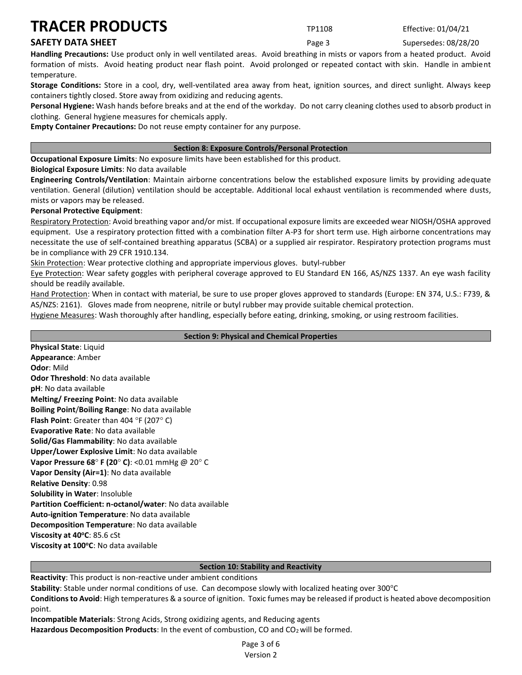# **SAFETY DATA SHEET SUPER SAFETY DATA SHEET Page 3** Supersedes: 08/28/20

**Handling Precautions:** Use product only in well ventilated areas. Avoid breathing in mists or vapors from a heated product. Avoid formation of mists. Avoid heating product near flash point. Avoid prolonged or repeated contact with skin. Handle in ambient temperature.

**Storage Conditions:** Store in a cool, dry, well-ventilated area away from heat, ignition sources, and direct sunlight. Always keep containers tightly closed. Store away from oxidizing and reducing agents.

**Personal Hygiene:** Wash hands before breaks and at the end of the workday. Do not carry cleaning clothes used to absorb product in clothing. General hygiene measures for chemicals apply.

**Empty Container Precautions:** Do not reuse empty container for any purpose.

## **Section 8: Exposure Controls/Personal Protection**

**Occupational Exposure Limits**: No exposure limits have been established for this product.

**Biological Exposure Limits**: No data available

**Engineering Controls/Ventilation**: Maintain airborne concentrations below the established exposure limits by providing adequate ventilation. General (dilution) ventilation should be acceptable. Additional local exhaust ventilation is recommended where dusts, mists or vapors may be released.

### **Personal Protective Equipment**:

Respiratory Protection: Avoid breathing vapor and/or mist. If occupational exposure limits are exceeded wear NIOSH/OSHA approved equipment. Use a respiratory protection fitted with a combination filter A-P3 for short term use. High airborne concentrations may necessitate the use of self-contained breathing apparatus (SCBA) or a supplied air respirator. Respiratory protection programs must be in compliance with 29 CFR 1910.134.

Skin Protection: Wear protective clothing and appropriate impervious gloves. butyl-rubber

Eye Protection: Wear safety goggles with peripheral coverage approved to EU Standard EN 166, AS/NZS 1337. An eye wash facility should be readily available.

Hand Protection: When in contact with material, be sure to use proper gloves approved to standards (Europe: EN 374, U.S.: F739, & AS/NZS: 2161). Gloves made from neoprene, nitrile or butyl rubber may provide suitable chemical protection.

Hygiene Measures: Wash thoroughly after handling, especially before eating, drinking, smoking, or using restroom facilities.

### **Section 9: Physical and Chemical Properties**

**Physical State**: Liquid **Appearance**: Amber **Odor**: Mild **Odor Threshold**: No data available **pH**: No data available **Melting/ Freezing Point**: No data available **Boiling Point**/**Boiling Range**: No data available **Flash Point:** Greater than 404 °F (207° C) **Evaporative Rate**: No data available **Solid/Gas Flammability**: No data available **Upper/Lower Explosive Limit**: No data available **Vapor Pressure 68° F (20° C): <0.01 mmHg @ 20° C Vapor Density (Air=1)**: No data available **Relative Density**: 0.98 **Solubility in Water**: Insoluble **Partition Coefficient: n-octanol/water**: No data available **Auto-ignition Temperature**: No data available **Decomposition Temperature**: No data available **Viscosity at 40<sup>o</sup>C**: 85.6 cSt **Viscosity at 100<sup>o</sup>C**: No data available

### **Section 10: Stability and Reactivity**

**Reactivity**: This product is non-reactive under ambient conditions

Stability: Stable under normal conditions of use. Can decompose slowly with localized heating over 300°C

**Conditions to Avoid**: High temperatures & a source of ignition. Toxic fumes may be released if product is heated above decomposition point.

**Incompatible Materials**: Strong Acids, Strong oxidizing agents, and Reducing agents Hazardous Decomposition Products: In the event of combustion, CO and CO<sub>2</sub> will be formed.

> Page 3 of 6 Version 2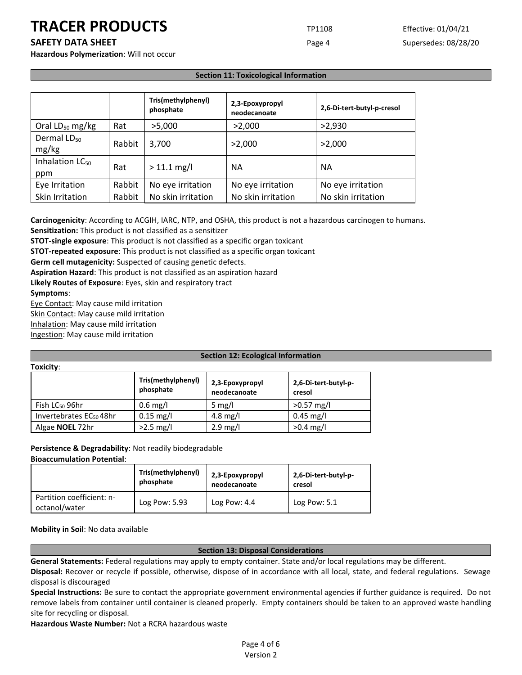**SAFETY DATA SHEET** SUPERFOUR CONSUMING THE Page 4 Supersedes: 08/28/20

**Hazardous Polymerization**: Will not occur

## **Section 11: Toxicological Information**

|                                    |        | Tris(methylphenyl)<br>phosphate | 2,3-Epoxypropyl<br>neodecanoate | 2,6-Di-tert-butyl-p-cresol |
|------------------------------------|--------|---------------------------------|---------------------------------|----------------------------|
| Oral $LD_{50}$ mg/kg               | Rat    | >5,000                          | >2,000                          | >2,930                     |
| Dermal LD <sub>50</sub><br>mg/kg   | Rabbit | 3,700                           | >2,000                          | >2,000                     |
| Inhalation LC <sub>50</sub><br>ppm | Rat    | $> 11.1$ mg/l                   | <b>NA</b>                       | <b>NA</b>                  |
| Eye Irritation                     | Rabbit | No eye irritation               | No eye irritation               | No eye irritation          |
| Skin Irritation                    | Rabbit | No skin irritation              | No skin irritation              | No skin irritation         |

**Carcinogenicity**: According to ACGIH, IARC, NTP, and OSHA, this product is not a hazardous carcinogen to humans. **Sensitization:** This product is not classified as a sensitizer

**STOT-single exposure**: This product is not classified as a specific organ toxicant

**STOT-repeated exposure**: This product is not classified as a specific organ toxicant

**Germ cell mutagenicity:** Suspected of causing genetic defects.

**Aspiration Hazard**: This product is not classified as an aspiration hazard

**Likely Routes of Exposure**: Eyes, skin and respiratory tract

**Symptoms**:

**Toxicity**:

Eye Contact: May cause mild irritation

Skin Contact: May cause mild irritation

Inhalation: May cause mild irritation

Ingestion: May cause mild irritation

### **Section 12: Ecological Information**

| .                                   |                                 |                                 |                                |
|-------------------------------------|---------------------------------|---------------------------------|--------------------------------|
|                                     | Tris(methylphenyl)<br>phosphate | 2,3-Epoxypropyl<br>neodecanoate | 2,6-Di-tert-butyl-p-<br>cresol |
| Fish LC <sub>50</sub> 96hr          | $0.6$ mg/l                      | 5 mg/l                          | $>0.57$ mg/l                   |
| Invertebrates EC <sub>50</sub> 48hr | $0.15$ mg/l                     | 4.8 mg/l                        | $0.45$ mg/l                    |
| Algae <b>NOEL</b> 72hr              | $>2.5$ mg/l                     | $2.9$ mg/l                      | $>0.4$ mg/l                    |

#### **Persistence & Degradability**: Not readily biodegradable **Bioaccumulation Potential**:

|                                            | Tris(methylphenyl) | 2,3-Epoxypropyl | 2,6-Di-tert-butyl-p- |
|--------------------------------------------|--------------------|-----------------|----------------------|
|                                            | phosphate          | neodecanoate    | cresol               |
| Partition coefficient: n-<br>octanol/water | Log Pow: 5.93      | Log Pow: 4.4    | Log Pow: $5.1$       |

**Mobility in Soil**: No data available

#### **Section 13: Disposal Considerations**

**General Statements:** Federal regulations may apply to empty container. State and/or local regulations may be different.

**Disposal:** Recover or recycle if possible, otherwise, dispose of in accordance with all local, state, and federal regulations. Sewage disposal is discouraged

**Special Instructions:** Be sure to contact the appropriate government environmental agencies if further guidance is required. Do not remove labels from container until container is cleaned properly. Empty containers should be taken to an approved waste handling site for recycling or disposal.

**Hazardous Waste Number:** Not a RCRA hazardous waste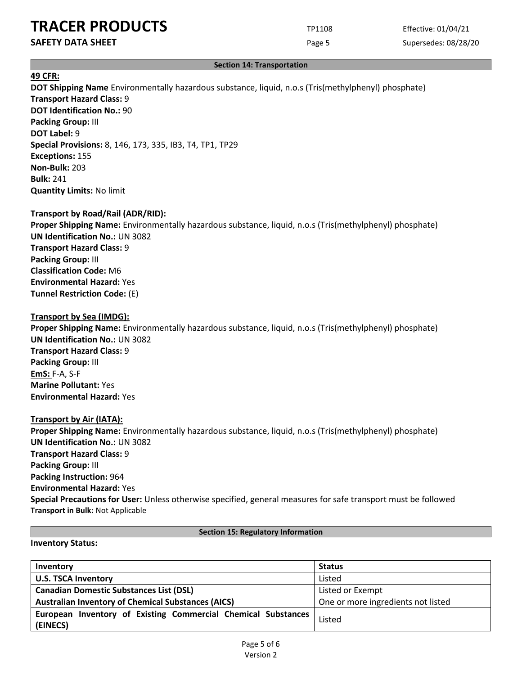# **SAFETY DATA SHEET** SUPERFOUR CONSIDERING Page 5 Supersedes: 08/28/20

### **Section 14: Transportation**

# **49 CFR:**

**DOT Shipping Name** Environmentally hazardous substance, liquid, n.o.s (Tris(methylphenyl) phosphate) **Transport Hazard Class:** 9 **DOT Identification No.:** 90 **Packing Group:** III **DOT Label:** 9 **Special Provisions:** 8, 146, 173, 335, IB3, T4, TP1, TP29 **Exceptions:** 155 **Non-Bulk:** 203 **Bulk:** 241

# **Transport by Road/Rail (ADR/RID):**

**Quantity Limits:** No limit

**Proper Shipping Name:** Environmentally hazardous substance, liquid, n.o.s (Tris(methylphenyl) phosphate) **UN Identification No.:** UN 3082 **Transport Hazard Class:** 9 **Packing Group:** III **Classification Code:** M6 **Environmental Hazard:** Yes **Tunnel Restriction Code:** (E)

## **Transport by Sea (IMDG):**

**Proper Shipping Name:** Environmentally hazardous substance, liquid, n.o.s (Tris(methylphenyl) phosphate) **UN Identification No.:** UN 3082 **Transport Hazard Class:** 9 **Packing Group:** III **EmS:** F-A, S-F **Marine Pollutant:** Yes **Environmental Hazard:** Yes

### **Transport by Air (IATA):**

**Proper Shipping Name:** Environmentally hazardous substance, liquid, n.o.s (Tris(methylphenyl) phosphate) **UN Identification No.:** UN 3082 **Transport Hazard Class:** 9 **Packing Group:** III **Packing Instruction:** 964 **Environmental Hazard:** Yes **Special Precautions for User:** Unless otherwise specified, general measures for safe transport must be followed **Transport in Bulk:** Not Applicable

## **Section 15: Regulatory Information**

#### **Inventory Status:**

| Inventory                                                                 | <b>Status</b>                      |
|---------------------------------------------------------------------------|------------------------------------|
| <b>U.S. TSCA Inventory</b>                                                | Listed                             |
| <b>Canadian Domestic Substances List (DSL)</b>                            | Listed or Exempt                   |
| <b>Australian Inventory of Chemical Substances (AICS)</b>                 | One or more ingredients not listed |
| European Inventory of Existing Commercial Chemical Substances<br>(EINECS) | Listed                             |